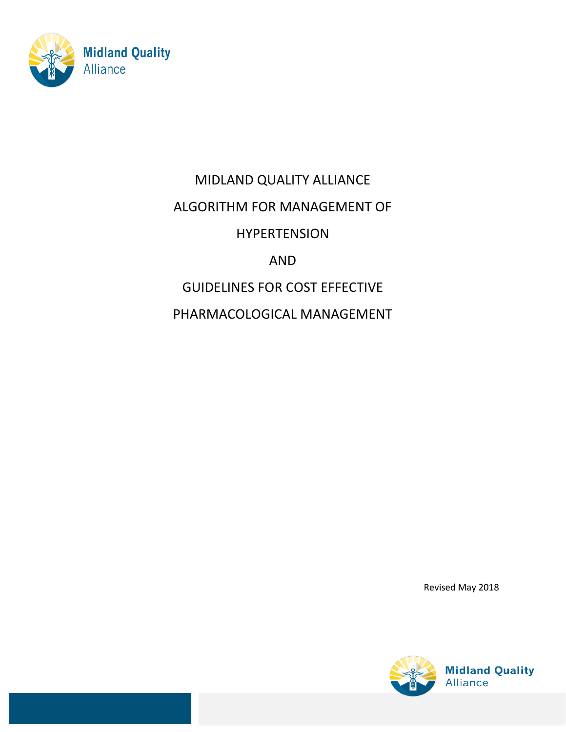

# MIDLAND QUALITY ALLIANCE

## ALGORITHM FOR MANAGEMENT OF

## HYPERTENSION

# AND

# GUIDELINES FOR COST EFFECTIVE

PHARMACOLOGICAL MANAGEMENT

Revised May 2018

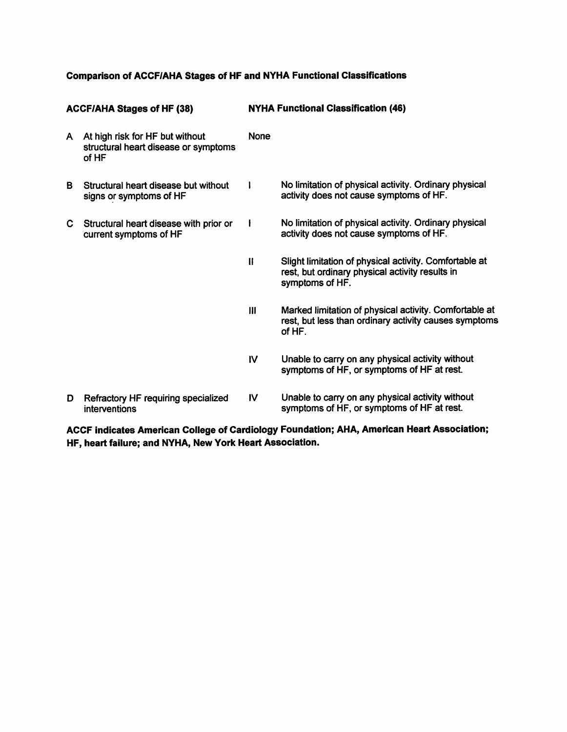### **Comparison of ACCF/AHA Stages of HF and NYHA Functional Classifications**

| <b>ACCF/AHA Stages of HF (38)</b> |                                                                                  | <b>NYHA Functional Classification (46)</b> |                                                                                                                              |  |
|-----------------------------------|----------------------------------------------------------------------------------|--------------------------------------------|------------------------------------------------------------------------------------------------------------------------------|--|
| A                                 | At high risk for HF but without<br>structural heart disease or symptoms<br>of HF | <b>None</b>                                |                                                                                                                              |  |
| в                                 | Structural heart disease but without<br>signs or symptoms of HF                  |                                            | No limitation of physical activity. Ordinary physical<br>activity does not cause symptoms of HF.                             |  |
| C.                                | Structural heart disease with prior or<br>current symptoms of HF                 | ł                                          | No limitation of physical activity. Ordinary physical<br>activity does not cause symptoms of HF.                             |  |
|                                   |                                                                                  | $\mathbf{I}$                               | Slight limitation of physical activity. Comfortable at<br>rest, but ordinary physical activity results in<br>symptoms of HF. |  |
|                                   |                                                                                  | $\mathbf{III}$                             | Marked limitation of physical activity. Comfortable at<br>rest, but less than ordinary activity causes symptoms<br>of HF.    |  |
|                                   |                                                                                  | IV                                         | Unable to carry on any physical activity without<br>symptoms of HF, or symptoms of HF at rest.                               |  |
| D                                 | Refractory HF requiring specialized<br>interventions                             | <b>IV</b>                                  | Unable to carry on any physical activity without<br>symptoms of HF, or symptoms of HF at rest.                               |  |

ACCF indicates American College of Cardiology Foundation; AHA, American Heart Association; HF, heart failure; and NYHA, New York Heart Association.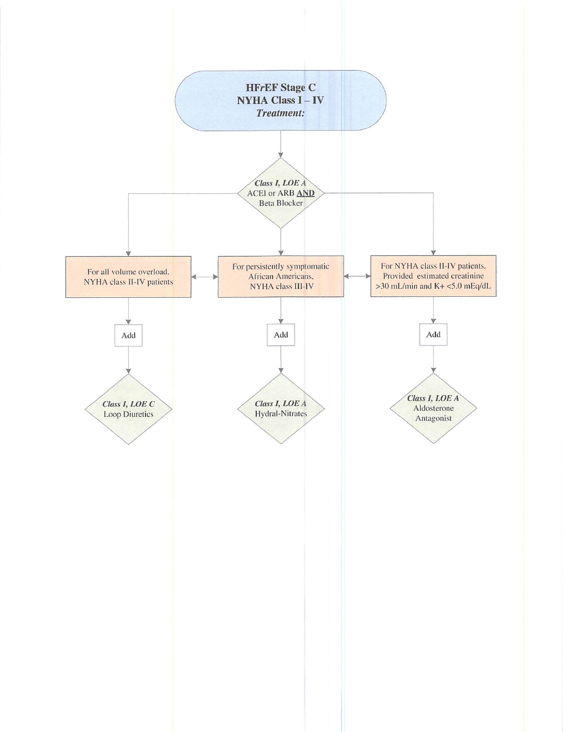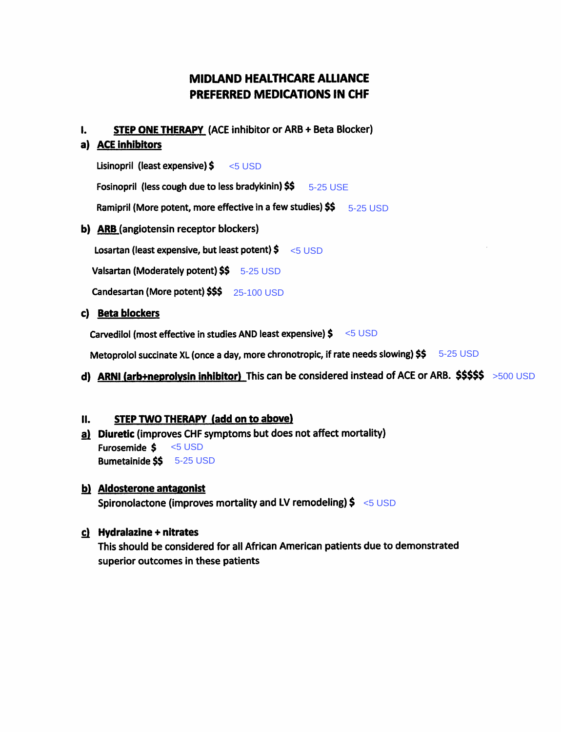### **MIDLAND HEALTHCARE ALLIANCE PREFERRED MEDICATIONS IN CHF**

**STEP ONE THERAPY (ACE inhibitor or ARB + Beta Blocker)**  $\mathbf{L}$ 

#### a) ACE inhibitors

Lisinopril (least expensive) \$  $< 5$  USD Fosinopril (less cough due to less bradykinin) \$\$ 5-25 USE

Ramipril (More potent, more effective in a few studies)  $$5 - 5-25$  USD

b) ARB (angiotensin receptor blockers)

Losartan (least expensive, but least potent)  $\frac{2}{5}$  <5 USD

Valsartan (Moderately potent) \$\$ 5-25 USD

Candesartan (More potent) \$\$\$ 25-100 USD

#### c) Beta blockers

Carvedilol (most effective in studies AND least expensive) \$ < 5 USD

Metoprolol succinate XL (once a day, more chronotropic, if rate needs slowing) \$\$ 5-25 USD

d) ARNI (arb+neprolysin inhibitor) This can be considered instead of ACE or ARB.  $$$ \$\$\$\$ >500 USD

#### STEP TWO THERAPY (add on to above) **II.**

a) Diuretic (improves CHF symptoms but does not affect mortality) Furosemide \$  $<$ 5 USD Bumetainide \$\$ 5-25 USD

### b) Aldosterone antagonist Spironolactone (improves mortality and LV remodeling)  $\frac{2}{5}$  <5 USD

### c) Hydralazine + nitrates

This should be considered for all African American patients due to demonstrated superior outcomes in these patients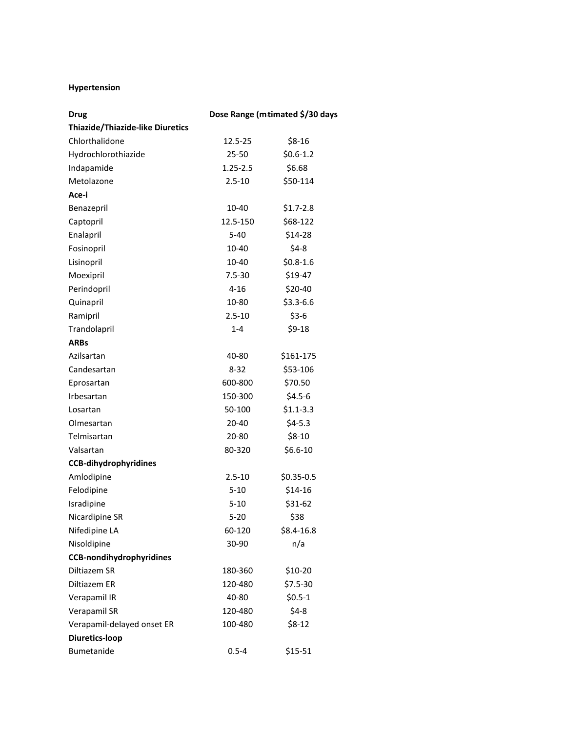#### **Hypertension**

| <b>Drug</b>                             | Dose Range (mtimated \$/30 days |              |  |  |
|-----------------------------------------|---------------------------------|--------------|--|--|
| <b>Thiazide/Thiazide-like Diuretics</b> |                                 |              |  |  |
| Chlorthalidone                          | 12.5-25                         | $$8-16$      |  |  |
| Hydrochlorothiazide                     | $25 - 50$                       | $$0.6-1.2$   |  |  |
| Indapamide                              | $1.25 - 2.5$                    | \$6.68       |  |  |
| Metolazone                              | $2.5 - 10$                      | \$50-114     |  |  |
| Ace-i                                   |                                 |              |  |  |
| Benazepril                              | 10-40                           | $$1.7-2.8$   |  |  |
| Captopril                               | 12.5-150                        | \$68-122     |  |  |
| Enalapril                               | $5 - 40$                        | \$14-28      |  |  |
| Fosinopril                              | 10-40                           | $$4-8$       |  |  |
| Lisinopril                              | 10-40                           | $$0.8-1.6$   |  |  |
| Moexipril                               | $7.5 - 30$                      | \$19-47      |  |  |
| Perindopril                             | $4 - 16$                        | \$20-40      |  |  |
| Quinapril                               | 10-80                           | $$3.3 - 6.6$ |  |  |
| Ramipril                                | $2.5 - 10$                      | $$3-6$       |  |  |
| Trandolapril                            | $1 - 4$                         | $$9-18$      |  |  |
| <b>ARBs</b>                             |                                 |              |  |  |
| Azilsartan                              | 40-80                           | \$161-175    |  |  |
| Candesartan                             | 8-32                            | \$53-106     |  |  |
| Eprosartan                              | 600-800                         | \$70.50      |  |  |
| Irbesartan                              | 150-300                         | $$4.5-6$     |  |  |
| Losartan                                | 50-100                          | $$1.1-3.3$   |  |  |
| Olmesartan                              | 20-40                           | $$4-5.3$     |  |  |
| Telmisartan                             | 20-80                           | $$8-10$      |  |  |
| Valsartan                               | 80-320                          | $$6.6-10$    |  |  |
| <b>CCB-dihydrophyridines</b>            |                                 |              |  |  |
| Amlodipine                              | $2.5 - 10$                      | $$0.35-0.5$  |  |  |
| Felodipine                              | $5 - 10$                        | $$14-16$     |  |  |
| Isradipine                              | $5 - 10$                        | \$31-62      |  |  |
| Nicardipine SR                          | $5 - 20$                        | \$38         |  |  |
| Nifedipine LA                           | 60-120                          | $$8.4-16.8$  |  |  |
| Nisoldipine                             | 30-90                           | n/a          |  |  |
| <b>CCB-nondihydrophyridines</b>         |                                 |              |  |  |
| Diltiazem SR                            | 180-360                         | \$10-20      |  |  |
| Diltiazem ER                            | 120-480                         | \$7.5-30     |  |  |
| Verapamil IR                            | 40-80                           | $$0.5-1$     |  |  |
| Verapamil SR                            | 120-480                         | $$4-8$       |  |  |
| Verapamil-delayed onset ER              | 100-480                         | $$8-12$      |  |  |
| <b>Diuretics-loop</b>                   |                                 |              |  |  |
| Bumetanide                              | $0.5 - 4$                       | \$15-51      |  |  |